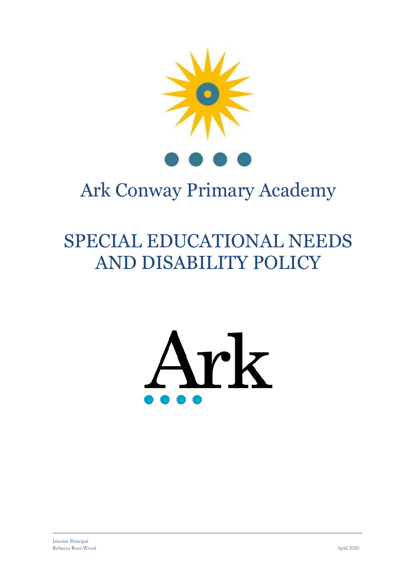

# Ark Conway Primary Academy

# SPECIAL EDUCATIONAL NEEDS AND DISABILITY POLICY

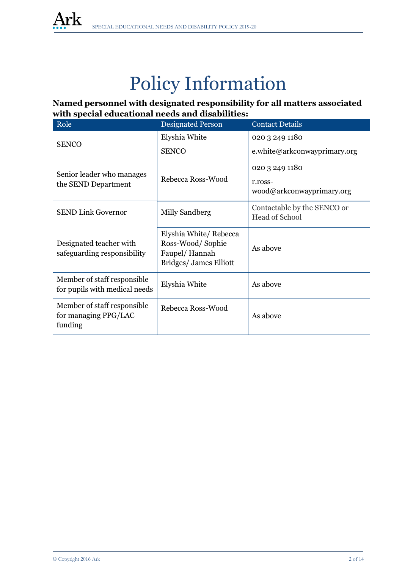

# Policy Information

**Named personnel with designated responsibility for all matters associated with special educational needs and disabilities:** 

| Role                                                           | <b>Designated Person</b>                                                             | <b>Contact Details</b>                               |  |
|----------------------------------------------------------------|--------------------------------------------------------------------------------------|------------------------------------------------------|--|
| <b>SENCO</b>                                                   | Elyshia White                                                                        | 020 3 249 1180                                       |  |
|                                                                | <b>SENCO</b>                                                                         | e.white@arkconwayprimary.org                         |  |
| Senior leader who manages                                      | Rebecca Ross-Wood                                                                    | 020 3 249 1180                                       |  |
| the SEND Department                                            |                                                                                      | r.ross-<br>wood@arkconwayprimary.org                 |  |
| <b>SEND Link Governor</b>                                      | Milly Sandberg                                                                       | Contactable by the SENCO or<br><b>Head of School</b> |  |
| Designated teacher with<br>safeguarding responsibility         | Elyshia White/Rebecca<br>Ross-Wood/Sophie<br>Faupel/Hannah<br>Bridges/ James Elliott | As above                                             |  |
| Member of staff responsible<br>for pupils with medical needs   | Elyshia White                                                                        | As above                                             |  |
| Member of staff responsible<br>for managing PPG/LAC<br>funding | Rebecca Ross-Wood                                                                    | As above                                             |  |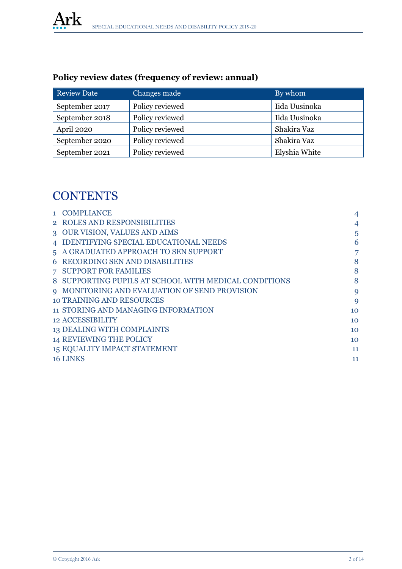| <b>Review Date</b> | Changes made    | By whom       |
|--------------------|-----------------|---------------|
| September 2017     | Policy reviewed | Iida Uusinoka |
| September 2018     | Policy reviewed | Iida Uusinoka |
| April 2020         | Policy reviewed | Shakira Vaz   |
| September 2020     | Policy reviewed | Shakira Vaz   |
| September 2021     | Policy reviewed | Elyshia White |

## **Policy review dates (frequency of review: annual)**

## **CONTENTS**

|                | 1 COMPLIANCE                                          | 4              |
|----------------|-------------------------------------------------------|----------------|
|                | 2 ROLES AND RESPONSIBILITIES                          | 4              |
|                | 3 OUR VISION, VALUES AND AIMS                         | 5              |
|                | 4 IDENTIFYING SPECIAL EDUCATIONAL NEEDS               | 6              |
|                | 5 A GRADUATED APPROACH TO SEN SUPPORT                 | $\overline{7}$ |
|                | <b>6 RECORDING SEN AND DISABILITIES</b>               | 8              |
| 7 <sup>7</sup> | <b>SUPPORT FOR FAMILIES</b>                           | 8              |
|                | 8 SUPPORTING PUPILS AT SCHOOL WITH MEDICAL CONDITIONS | 8              |
|                | 9 MONITORING AND EVALUATION OF SEND PROVISION         | 9              |
|                | <b>10 TRAINING AND RESOURCES</b>                      | $\mathbf Q$    |
|                | 11 STORING AND MANAGING INFORMATION                   | 10             |
|                | <b>12 ACCESSIBILITY</b>                               | 10             |
|                | 13 DEALING WITH COMPLAINTS                            | 10             |
|                | <b>14 REVIEWING THE POLICY</b>                        | 10             |
|                | 15 EQUALITY IMPACT STATEMENT                          | 11             |
|                | 16 LINKS                                              | 11             |
|                |                                                       |                |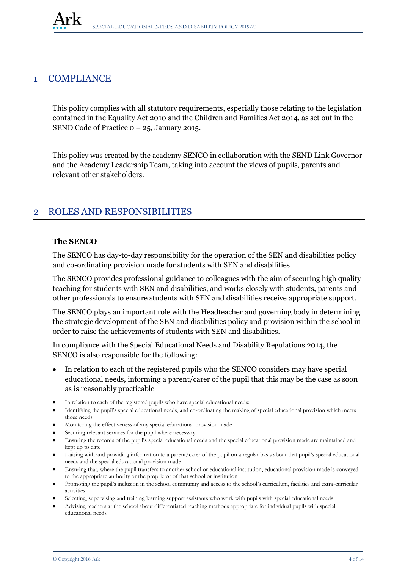### 1 COMPLIANCE

This policy complies with all statutory requirements, especially those relating to the legislation contained in the Equality Act 2010 and the Children and Families Act 2014, as set out in the SEND Code of Practice 0 – 25, January 2015.

This policy was created by the academy SENCO in collaboration with the SEND Link Governor and the Academy Leadership Team, taking into account the views of pupils, parents and relevant other stakeholders.

## 2 ROLES AND RESPONSIBILITIES

#### **The SENCO**

The SENCO has day-to-day responsibility for the operation of the SEN and disabilities policy and co-ordinating provision made for students with SEN and disabilities.

The SENCO provides professional guidance to colleagues with the aim of securing high quality teaching for students with SEN and disabilities, and works closely with students, parents and other professionals to ensure students with SEN and disabilities receive appropriate support.

The SENCO plays an important role with the Headteacher and governing body in determining the strategic development of the SEN and disabilities policy and provision within the school in order to raise the achievements of students with SEN and disabilities.

In compliance with the Special Educational Needs and Disability Regulations 2014, the SENCO is also responsible for the following:

- In relation to each of the registered pupils who the SENCO considers may have special educational needs, informing a parent/carer of the pupil that this may be the case as soon as is reasonably practicable
- In relation to each of the registered pupils who have special educational needs:
- Identifying the pupil's special educational needs, and co-ordinating the making of special educational provision which meets those needs
- Monitoring the effectiveness of any special educational provision made
- Securing relevant services for the pupil where necessary
- Ensuring the records of the pupil's special educational needs and the special educational provision made are maintained and kept up to date
- Liaising with and providing information to a parent/carer of the pupil on a regular basis about that pupil's special educational needs and the special educational provision made
- Ensuring that, where the pupil transfers to another school or educational institution, educational provision made is conveyed to the appropriate authority or the proprietor of that school or institution
- Promoting the pupil's inclusion in the school community and access to the school's curriculum, facilities and extra-curricular activities
- Selecting, supervising and training learning support assistants who work with pupils with special educational needs
- Advising teachers at the school about differentiated teaching methods appropriate for individual pupils with special educational needs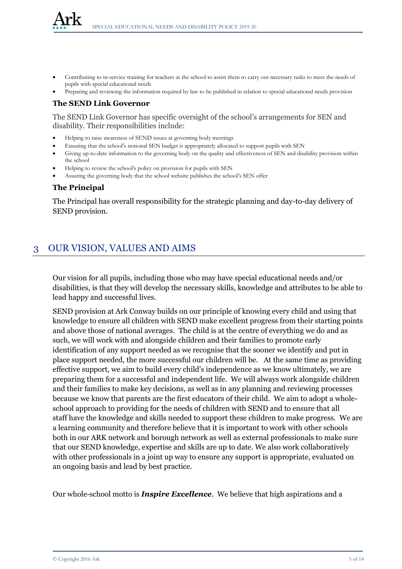- Contributing to in-service training for teachers at the school to assist them to carry out necessary tasks to meet the needs of pupils with special educational needs
- Preparing and reviewing the information required by law to be published in relation to special educational needs provision

#### **The SEND Link Governor**

The SEND Link Governor has specific oversight of the school's arrangements for SEN and disability. Their responsibilities include:

- Helping to raise awareness of SEND issues at governing body meetings
- Ensuring that the school's notional SEN budget is appropriately allocated to support pupils with SEN
- Giving up-to-date information to the governing body on the quality and effectiveness of SEN and disability provision within the school
- Helping to review the school's policy on provision for pupils with SEN
- Assuring the governing body that the school website publishes the school's SEN offer

#### **The Principal**

The Principal has overall responsibility for the strategic planning and day-to-day delivery of SEND provision.

## 3 OUR VISION, VALUES AND AIMS

Our vision for all pupils, including those who may have special educational needs and/or disabilities, is that they will develop the necessary skills, knowledge and attributes to be able to lead happy and successful lives.

SEND provision at Ark Conway builds on our principle of knowing every child and using that knowledge to ensure all children with SEND make excellent progress from their starting points and above those of national averages. The child is at the centre of everything we do and as such, we will work with and alongside children and their families to promote early identification of any support needed as we recognise that the sooner we identify and put in place support needed, the more successful our children will be. At the same time as providing effective support, we aim to build every child's independence as we know ultimately, we are preparing them for a successful and independent life. We will always work alongside children and their families to make key decisions, as well as in any planning and reviewing processes because we know that parents are the first educators of their child. We aim to adopt a wholeschool approach to providing for the needs of children with SEND and to ensure that all staff have the knowledge and skills needed to support these children to make progress. We are a learning community and therefore believe that it is important to work with other schools both in our ARK network and borough network as well as external professionals to make sure that our SEND knowledge, expertise and skills are up to date. We also work collaboratively with other professionals in a joint up way to ensure any support is appropriate, evaluated on an ongoing basis and lead by best practice.

Our whole-school motto is *Inspire Excellence.* We believe that high aspirations and a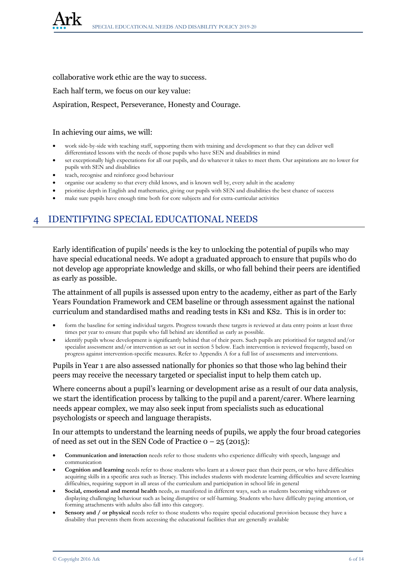collaborative work ethic are the way to success.

Each half term, we focus on our key value:

#### Aspiration, Respect, Perseverance, Honesty and Courage.

#### In achieving our aims, we will:

- work side-by-side with teaching staff, supporting them with training and development so that they can deliver well differentiated lessons with the needs of those pupils who have SEN and disabilities in mind
- set exceptionally high expectations for all our pupils, and do whatever it takes to meet them. Our aspirations are no lower for pupils with SEN and disabilities
- teach, recognise and reinforce good behaviour
- organise our academy so that every child knows, and is known well by, every adult in the academy
- prioritise depth in English and mathematics, giving our pupils with SEN and disabilities the best chance of success
- make sure pupils have enough time both for core subjects and for extra-curricular activities

## 4 IDENTIFYING SPECIAL EDUCATIONAL NEEDS

Early identification of pupils' needs is the key to unlocking the potential of pupils who may have special educational needs. We adopt a graduated approach to ensure that pupils who do not develop age appropriate knowledge and skills, or who fall behind their peers are identified as early as possible.

The attainment of all pupils is assessed upon entry to the academy, either as part of the Early Years Foundation Framework and CEM baseline or through assessment against the national curriculum and standardised maths and reading tests in KS1 and KS2. This is in order to:

- form the baseline for setting individual targets. Progress towards these targets is reviewed at data entry points at least three times per year to ensure that pupils who fall behind are identified as early as possible.
- identify pupils whose development is significantly behind that of their peers. Such pupils are prioritised for targeted and/or specialist assessment and/or intervention as set out in section 5 below. Each intervention is reviewed frequently, based on progress against intervention-specific measures. Refer to Appendix A for a full list of assessments and interventions.

Pupils in Year 1 are also assessed nationally for phonics so that those who lag behind their peers may receive the necessary targeted or specialist input to help them catch up.

Where concerns about a pupil's learning or development arise as a result of our data analysis, we start the identification process by talking to the pupil and a parent/carer. Where learning needs appear complex, we may also seek input from specialists such as educational psychologists or speech and language therapists.

In our attempts to understand the learning needs of pupils, we apply the four broad categories of need as set out in the SEN Code of Practice  $0 - 25 (2015)$ :

- **Communication and interaction** needs refer to those students who experience difficulty with speech, language and communication
- **Cognition and learning** needs refer to those students who learn at a slower pace than their peers, or who have difficulties acquiring skills in a specific area such as literacy. This includes students with moderate learning difficulties and severe learning difficulties, requiring support in all areas of the curriculum and participation in school life in general
- **Social, emotional and mental health** needs, as manifested in different ways, such as students becoming withdrawn or displaying challenging behaviour such as being disruptive or self-harming. Students who have difficulty paying attention, or forming attachments with adults also fall into this category.
- **Sensory and / or physical** needs refer to those students who require special educational provision because they have a disability that prevents them from accessing the educational facilities that are generally available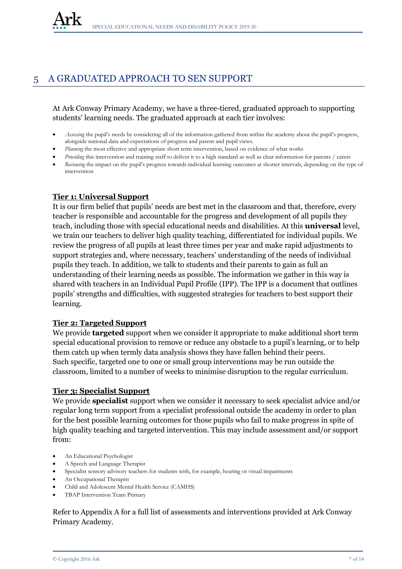## 5 A GRADUATED APPROACH TO SEN SUPPORT

At Ark Conway Primary Academy, we have a three-tiered, graduated approach to supporting students' learning needs. The graduated approach at each tier involves:

- *Assessing* the pupil's needs by considering all of the information gathered from within the academy about the pupil's progress, alongside national data and expectations of progress and parent and pupil views.
- *Planning* the most effective and appropriate short term intervention, based on evidence of what works
- *Providing* this intervention and training staff to deliver it to a high standard as well as clear information for parents / carers
- *Reviewing* the impact on the pupil's progress towards individual learning outcomes at shorter intervals, depending on the type of intervention

#### **Tier 1: Universal Support**

It is our firm belief that pupils' needs are best met in the classroom and that, therefore, every teacher is responsible and accountable for the progress and development of all pupils they teach, including those with special educational needs and disabilities. At this **universal** level, we train our teachers to deliver high quality teaching, differentiated for individual pupils. We review the progress of all pupils at least three times per year and make rapid adjustments to support strategies and, where necessary, teachers' understanding of the needs of individual pupils they teach. In addition, we talk to students and their parents to gain as full an understanding of their learning needs as possible. The information we gather in this way is shared with teachers in an Individual Pupil Profile (IPP). The IPP is a document that outlines pupils' strengths and difficulties, with suggested strategies for teachers to best support their learning.

#### **Tier 2: Targeted Support**

We provide **targeted** support when we consider it appropriate to make additional short term special educational provision to remove or reduce any obstacle to a pupil's learning, or to help them catch up when termly data analysis shows they have fallen behind their peers. Such specific, targeted one to one or small group interventions may be run outside the classroom, limited to a number of weeks to minimise disruption to the regular curriculum.

#### **Tier 3: Specialist Support**

We provide **specialist** support when we consider it necessary to seek specialist advice and/or regular long term support from a specialist professional outside the academy in order to plan for the best possible learning outcomes for those pupils who fail to make progress in spite of high quality teaching and targeted intervention. This may include assessment and/or support from:

- An Educational Psychologist
- A Speech and Language Therapist
- Specialist sensory advisory teachers for students with, for example, hearing or visual impairments
- An Occupational Therapist
- Child and Adolescent Mental Health Service (CAMHS)
- TBAP Intervention Team Primary

Refer to Appendix A for a full list of assessments and interventions provided at Ark Conway Primary Academy.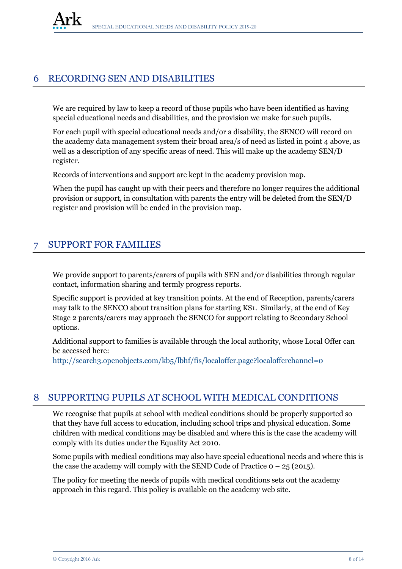## 6 RECORDING SEN AND DISABILITIES

We are required by law to keep a record of those pupils who have been identified as having special educational needs and disabilities, and the provision we make for such pupils.

For each pupil with special educational needs and/or a disability, the SENCO will record on the academy data management system their broad area/s of need as listed in point 4 above, as well as a description of any specific areas of need. This will make up the academy SEN/D register.

Records of interventions and support are kept in the academy provision map.

When the pupil has caught up with their peers and therefore no longer requires the additional provision or support, in consultation with parents the entry will be deleted from the SEN/D register and provision will be ended in the provision map.

## 7 SUPPORT FOR FAMILIES

We provide support to parents/carers of pupils with SEN and/or disabilities through regular contact, information sharing and termly progress reports.

Specific support is provided at key transition points. At the end of Reception, parents/carers may talk to the SENCO about transition plans for starting KS1. Similarly, at the end of Key Stage 2 parents/carers may approach the SENCO for support relating to Secondary School options.

Additional support to families is available through the local authority, whose Local Offer can be accessed here:

<http://search3.openobjects.com/kb5/lbhf/fis/localoffer.page?localofferchannel=0>

## 8 SUPPORTING PUPILS AT SCHOOL WITH MEDICAL CONDITIONS

We recognise that pupils at school with medical conditions should be properly supported so that they have full access to education, including school trips and physical education. Some children with medical conditions may be disabled and where this is the case the academy will comply with its duties under the Equality Act 2010.

Some pupils with medical conditions may also have special educational needs and where this is the case the academy will comply with the SEND Code of Practice  $0 - 25$  (2015).

The policy for meeting the needs of pupils with medical conditions sets out the academy approach in this regard. This policy is available on the academy web site.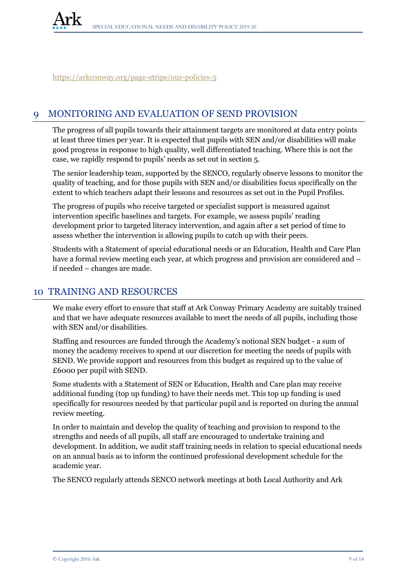<https://arkconway.org/page-strips/our-policies-5>

## 9 MONITORING AND EVALUATION OF SEND PROVISION

The progress of all pupils towards their attainment targets are monitored at data entry points at least three times per year. It is expected that pupils with SEN and/or disabilities will make good progress in response to high quality, well differentiated teaching. Where this is not the case, we rapidly respond to pupils' needs as set out in section 5.

The senior leadership team, supported by the SENCO, regularly observe lessons to monitor the quality of teaching, and for those pupils with SEN and/or disabilities focus specifically on the extent to which teachers adapt their lessons and resources as set out in the Pupil Profiles.

The progress of pupils who receive targeted or specialist support is measured against intervention specific baselines and targets. For example, we assess pupils' reading development prior to targeted literacy intervention, and again after a set period of time to assess whether the intervention is allowing pupils to catch up with their peers.

Students with a Statement of special educational needs or an Education, Health and Care Plan have a formal review meeting each year, at which progress and provision are considered and  $$ if needed – changes are made.

## 10 TRAINING AND RESOURCES

We make every effort to ensure that staff at Ark Conway Primary Academy are suitably trained and that we have adequate resources available to meet the needs of all pupils, including those with SEN and/or disabilities.

Staffing and resources are funded through the Academy's notional SEN budget - a sum of money the academy receives to spend at our discretion for meeting the needs of pupils with SEND. We provide support and resources from this budget as required up to the value of £6000 per pupil with SEND.

Some students with a Statement of SEN or Education, Health and Care plan may receive additional funding (top up funding) to have their needs met. This top up funding is used specifically for resources needed by that particular pupil and is reported on during the annual review meeting.

In order to maintain and develop the quality of teaching and provision to respond to the strengths and needs of all pupils, all staff are encouraged to undertake training and development. In addition, we audit staff training needs in relation to special educational needs on an annual basis as to inform the continued professional development schedule for the academic year.

The SENCO regularly attends SENCO network meetings at both Local Authority and Ark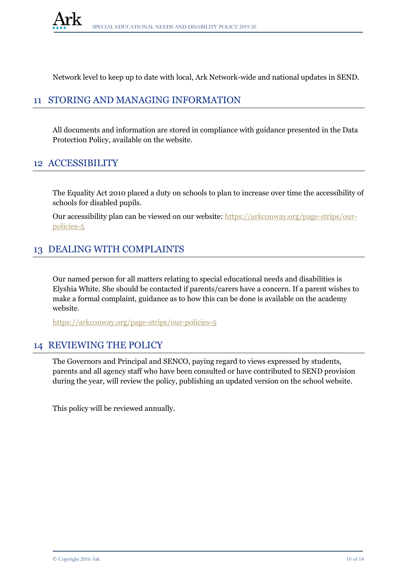Network level to keep up to date with local, Ark Network-wide and national updates in SEND.

## 11 STORING AND MANAGING INFORMATION

All documents and information are stored in compliance with guidance presented in the Data Protection Policy, available on the website.

## 12 ACCESSIBILITY

The Equality Act 2010 placed a duty on schools to plan to increase over time the accessibility of schools for disabled pupils.

Our accessibility plan can be viewed on our website: [https://arkconway.org/page-strips/our](https://arkconway.org/page-strips/our-policies-5)[policies-5](https://arkconway.org/page-strips/our-policies-5)

## 13 DEALING WITH COMPLAINTS

Our named person for all matters relating to special educational needs and disabilities is Elyshia White. She should be contacted if parents/carers have a concern. If a parent wishes to make a formal complaint, guidance as to how this can be done is available on the academy website.

<https://arkconway.org/page-strips/our-policies-5>

## 14 REVIEWING THE POLICY

The Governors and Principal and SENCO, paying regard to views expressed by students, parents and all agency staff who have been consulted or have contributed to SEND provision during the year, will review the policy, publishing an updated version on the school website.

This policy will be reviewed annually.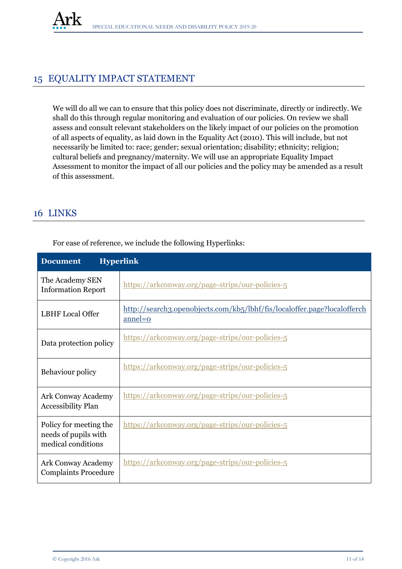

## 15 EQUALITY IMPACT STATEMENT

We will do all we can to ensure that this policy does not discriminate, directly or indirectly. We shall do this through regular monitoring and evaluation of our policies. On review we shall assess and consult relevant stakeholders on the likely impact of our policies on the promotion of all aspects of equality, as laid down in the Equality Act (2010). This will include, but not necessarily be limited to: race; gender; sexual orientation; disability; ethnicity; religion; cultural beliefs and pregnancy/maternity. We will use an appropriate Equality Impact Assessment to monitor the impact of all our policies and the policy may be amended as a result of this assessment.

## 16 LINKS

| <b>Hyperlink</b><br><b>Document</b>                                  |                                                                                       |  |  |
|----------------------------------------------------------------------|---------------------------------------------------------------------------------------|--|--|
| The Academy SEN<br><b>Information Report</b>                         | https://arkconway.org/page-strips/our-policies-5                                      |  |  |
| <b>LBHF</b> Local Offer                                              | http://search3.openobjects.com/kb5/lbhf/fis/localoffer.page?localofferch<br>$anneI=0$ |  |  |
| Data protection policy                                               | https://arkconway.org/page-strips/our-policies-5                                      |  |  |
| Behaviour policy                                                     | https://arkconway.org/page-strips/our-policies-5                                      |  |  |
| <b>Ark Conway Academy</b><br><b>Accessibility Plan</b>               | https://arkconway.org/page-strips/our-policies-5                                      |  |  |
| Policy for meeting the<br>needs of pupils with<br>medical conditions | https://arkconway.org/page-strips/our-policies-5                                      |  |  |
| <b>Ark Conway Academy</b><br><b>Complaints Procedure</b>             | https://arkconway.org/page-strips/our-policies-5                                      |  |  |

For ease of reference, we include the following Hyperlinks: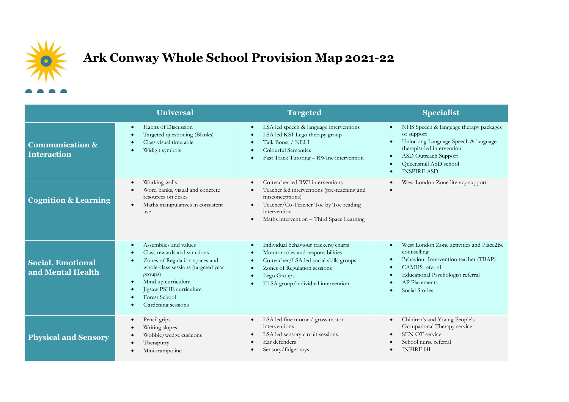

## **Ark Conway Whole School Provision Map2021-22**

|                                                  | <b>Universal</b>                                                                                                                                                                                                                       | <b>Targeted</b>                                                                                                                                                                                                         | <b>Specialist</b>                                                                                                                                                                                                                                                                      |
|--------------------------------------------------|----------------------------------------------------------------------------------------------------------------------------------------------------------------------------------------------------------------------------------------|-------------------------------------------------------------------------------------------------------------------------------------------------------------------------------------------------------------------------|----------------------------------------------------------------------------------------------------------------------------------------------------------------------------------------------------------------------------------------------------------------------------------------|
| <b>Communication &amp;</b><br><b>Interaction</b> | Habits of Discussion<br>- 0<br>Targeted questioning (Blanks)<br>Class visual timetable<br>Widigit symbols                                                                                                                              | LSA led speech & language interventions<br>LSA led KS1 Lego therapy group<br>Talk Boost / NELI<br>Colourful Semantics<br>Fast Track Tutoring - RWInc intervention                                                       | NHS Speech & language therapy packages<br>$\bullet$<br>of support<br>Unlocking Language Speech & language<br>$\bullet$<br>therapist-led intervention<br><b>ASD</b> Outreach Support<br>$\bullet$<br>Queensmill ASD school<br>$\bullet$<br><b>INSPIRE ASD</b><br>$\bullet$              |
| <b>Cognition &amp; Learning</b>                  | Working walls<br>$\bullet$<br>Word banks, visual and concrete<br>resources on desks<br>Maths manipulatives in consistent<br>$\bullet$<br>use                                                                                           | Co-teacher led RWI interventions<br>Teacher led interventions (pre-teaching and<br>misconceptions)<br>Teacher/Co-Teacher Toe by Toe reading<br>intervention<br>Maths intervention - Third Space Learning<br>$\bullet$   | West London Zone literacy support<br>$\bullet$<br>$\bullet$                                                                                                                                                                                                                            |
| <b>Social, Emotional</b><br>and Mental Health    | Assemblies and values<br>Class rewards and sanctions<br>Zones of Regulation spaces and<br>whole-class sessions (targeted year<br>groups)<br>Mind up curriculum<br>- 0<br>Jigsaw PSHE curriculum<br>Forest School<br>Gardening sessions | Individual behaviour trackers/charts<br>Monitor roles and responsibilities<br>Co-teacher/LSA led social skills groups<br>$\bullet$<br>Zones of Regulation sessions<br>Lego Groups<br>ELSA group/individual intervention | West London Zone activities and Place2Be<br>$\bullet$<br>counselling<br>Behaviour Intervention teacher (TBAP)<br>$\bullet$<br>CAMHS referral<br>$\bullet$<br>Educational Psychologist referral<br>$\bullet$<br><b>AP</b> Placements<br>$\bullet$<br><b>Social Stories</b><br>$\bullet$ |
| <b>Physical and Sensory</b>                      | Pencil grips<br>$\bullet$<br>Writing slopes<br>Wobble/wedge cushions<br>Theraputty<br>Mini-trampoline                                                                                                                                  | LSA led fine motor / gross motor<br>$\bullet$<br>interventions<br>LSA led sensory circuit sessions<br>Ear defenders<br>Sensory/fidget toys                                                                              | Children's and Young People's<br>$\bullet$<br>Occupational Therapy service<br>SEN OT service<br>$\bullet$<br>School nurse referral<br><b>INPIRE HI</b>                                                                                                                                 |